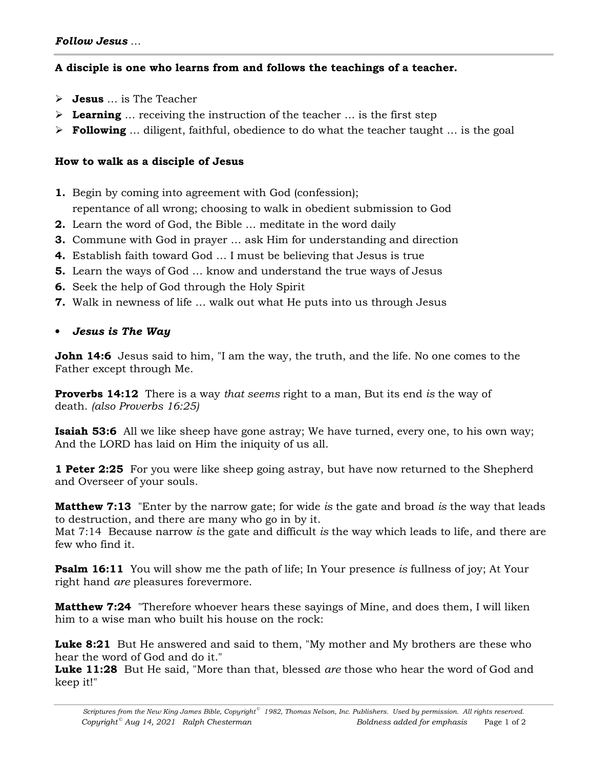# **A disciple is one who learns from and follows the teachings of a teacher.**

- **Jesus** … is The Teacher
- **Learning** … receiving the instruction of the teacher … is the first step
- **Following** … diligent, faithful, obedience to do what the teacher taught … is the goal

# **How to walk as a disciple of Jesus**

- **1.** Begin by coming into agreement with God (confession);
- repentance of all wrong; choosing to walk in obedient submission to God
- **2.** Learn the word of God, the Bible … meditate in the word daily
- **3.** Commune with God in prayer … ask Him for understanding and direction
- **4.** Establish faith toward God … I must be believing that Jesus is true
- **5.** Learn the ways of God … know and understand the true ways of Jesus
- **6.** Seek the help of God through the Holy Spirit
- **7.** Walk in newness of life … walk out what He puts into us through Jesus

# • *Jesus is The Way*

**John 14:6** Jesus said to him, "I am the way, the truth, and the life. No one comes to the Father except through Me.

**Proverbs 14:12** There is a way *that seems* right to a man, But its end *is* the way of death. *(also Proverbs 16:25)*

**Isaiah 53:6** All we like sheep have gone astray; We have turned, every one, to his own way; And the LORD has laid on Him the iniquity of us all.

**1 Peter 2:25** For you were like sheep going astray, but have now returned to the Shepherd and Overseer of your souls.

**Matthew 7:13** "Enter by the narrow gate; for wide *is* the gate and broad *is* the way that leads to destruction, and there are many who go in by it.

Mat 7:14 Because narrow *is* the gate and difficult *is* the way which leads to life, and there are few who find it.

**Psalm 16:11** You will show me the path of life; In Your presence *is* fullness of joy; At Your right hand *are* pleasures forevermore.

**Matthew 7:24** "Therefore whoever hears these sayings of Mine, and does them, I will liken him to a wise man who built his house on the rock:

**Luke 8:21** But He answered and said to them, "My mother and My brothers are these who hear the word of God and do it."

**Luke 11:28** But He said, "More than that, blessed *are* those who hear the word of God and keep it!"